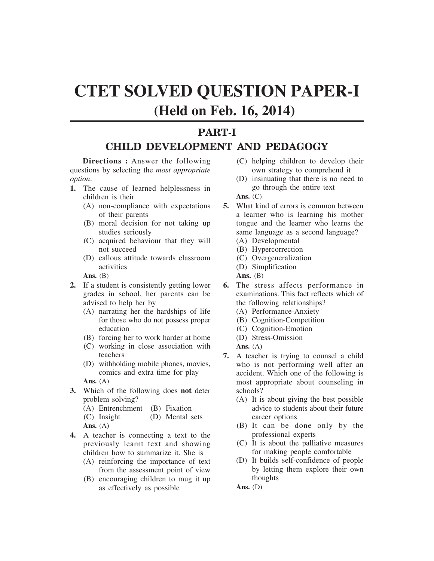# **CTET SOLVED QUESTION PAPER-I (Held on Feb. 16, 2014)**

### **PART-I CHILD DEVELOPMENT AND PEDAGOGY**

**Directions :** Answer the following questions by selecting the *most appropriate option*.

- **1.** The cause of learned helplessness in children is their
	- (A) non-compliance with expectations of their parents
	- (B) moral decision for not taking up studies seriously
	- (C) acquired behaviour that they will not succeed
	- (D) callous attitude towards classroom activities

**Ans.** (B)

- **2.** If a student is consistently getting lower grades in school, her parents can be advised to help her by
	- (A) narrating her the hardships of life for those who do not possess proper education
	- (B) forcing her to work harder at home
	- (C) working in close association with teachers
	- (D) withholding mobile phones, movies, comics and extra time for play

**Ans.** (A)

- **3.** Which of the following does **not** deter problem solving?
	- (A) Entrenchment (B) Fixation
	- (C) Insight (D) Mental sets **Ans.** (A)
- **4.** A teacher is connecting a text to the previously learnt text and showing children how to summarize it. She is
	- (A) reinforcing the importance of text from the assessment point of view
	- (B) encouraging children to mug it up as effectively as possible
- (C) helping children to develop their own strategy to comprehend it
- (D) insinuating that there is no need to go through the entire text
- **Ans.** (C)
- **5.** What kind of errors is common between a learner who is learning his mother tongue and the learner who learns the same language as a second language?
	- (A) Developmental
	- (B) Hypercorrection
	- (C) Overgeneralization
	- (D) Simplification

Ans. **(B)** 

- **6.** The stress affects performance in examinations. This fact reflects which of the following relationships?
	- (A) Performance-Anxiety
	- (B) Cognition-Competition
	- (C) Cognition-Emotion
	- (D) Stress-Omission
	- **Ans.** (A)
- **7.** A teacher is trying to counsel a child who is not performing well after an accident. Which one of the following is most appropriate about counseling in schools?
	- (A) It is about giving the best possible advice to students about their future career options
	- (B) It can be done only by the professional experts
	- (C) It is about the palliative measures for making people comfortable
	- (D) It builds self-confidence of people by letting them explore their own thoughts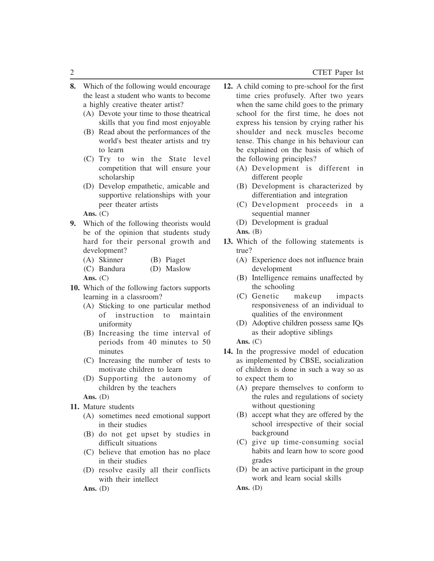- **8.** Which of the following would encourage the least a student who wants to become a highly creative theater artist?
	- (A) Devote your time to those theatrical skills that you find most enjoyable
	- (B) Read about the performances of the world's best theater artists and try to learn
	- (C) Try to win the State level competition that will ensure your scholarship
	- (D) Develop empathetic, amicable and supportive relationships with your peer theater artists
	- **Ans.** (C)
- **9.** Which of the following theorists would be of the opinion that students study hard for their personal growth and development?
	- (A) Skinner (B) Piaget
	- (C) Bandura (D) Maslow

**Ans.** (C)

- **10.** Which of the following factors supports learning in a classroom?
	- (A) Sticking to one particular method of instruction to maintain uniformity
	- (B) Increasing the time interval of periods from 40 minutes to 50 minutes
	- (C) Increasing the number of tests to motivate children to learn
	- (D) Supporting the autonomy of children by the teachers
	- **Ans.** (D)
- **11.** Mature students
	- (A) sometimes need emotional support in their studies
	- (B) do not get upset by studies in difficult situations
	- (C) believe that emotion has no place in their studies
	- (D) resolve easily all their conflicts with their intellect

**Ans.** (D)

- **12.** A child coming to pre-school for the first time cries profusely. After two years when the same child goes to the primary school for the first time, he does not express his tension by crying rather his shoulder and neck muscles become tense. This change in his behaviour can be explained on the basis of which of the following principles?
	- (A) Development is different in different people
	- (B) Development is characterized by differentiation and integration
	- (C) Development proceeds in a sequential manner
	- (D) Development is gradual
	- Ans. **(B)**
- **13.** Which of the following statements is true?
	- (A) Experience does not influence brain development
	- (B) Intelligence remains unaffected by the schooling
	- (C) Genetic makeup impacts responsiveness of an individual to qualities of the environment
	- (D) Adoptive children possess same IQs as their adoptive siblings

**Ans.** (C)

- **14.** In the progressive model of education as implemented by CBSE, socialization of children is done in such a way so as to expect them to
	- (A) prepare themselves to conform to the rules and regulations of society without questioning
	- (B) accept what they are offered by the school irrespective of their social background
	- (C) give up time-consuming social habits and learn how to score good grades
	- (D) be an active participant in the group work and learn social skills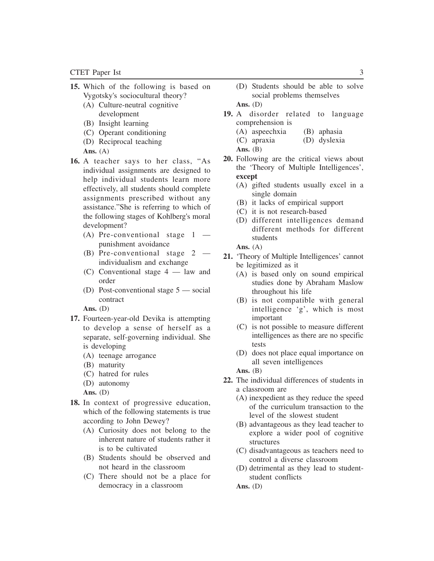- **15.** Which of the following is based on Vygotsky's sociocultural theory?
	- (A) Culture-neutral cognitive development
	- (B) Insight learning
	- (C) Operant conditioning
	- (D) Reciprocal teaching
	- **Ans.** (A)
- **16.** A teacher says to her class, "As individual assignments are designed to help individual students learn more effectively, all students should complete assignments prescribed without any assistance."She is referring to which of the following stages of Kohlberg's moral development?
	- (A) Pre-conventional stage  $1$ punishment avoidance
	- (B) Pre-conventional stage 2 individualism and exchange
	- (C) Conventional stage 4 law and order
	- (D) Post-conventional stage 5 social contract

- **17.** Fourteen-year-old Devika is attempting to develop a sense of herself as a separate, self-governing individual. She is developing
	- (A) teenage arrogance
	- (B) maturity
	- (C) hatred for rules
	- (D) autonomy

**Ans.** (D)

- **18.** In context of progressive education, which of the following statements is true according to John Dewey?
	- (A) Curiosity does not belong to the inherent nature of students rather it is to be cultivated
	- (B) Students should be observed and not heard in the classroom
	- (C) There should not be a place for democracy in a classroom
- (D) Students should be able to solve social problems themselves **Ans.** (D)
- **19.** A disorder related to language comprehension is
	- (A) aspeechxia (B) aphasia
	- (C) apraxia (D) dyslexia
	- **Ans.** (B)
- **20.** Following are the critical views about the 'Theory of Multiple Intelligences', **except**
	- (A) gifted students usually excel in a single domain
	- (B) it lacks of empirical support
	- (C) it is not research-based
	- (D) different intelligences demand different methods for different students

**Ans.** (A)

- **21.** 'Theory of Multiple Intelligences' cannot be legitimized as it
	- (A) is based only on sound empirical studies done by Abraham Maslow throughout his life
	- (B) is not compatible with general intelligence 'g', which is most important
	- (C) is not possible to measure different intelligences as there are no specific tests
	- (D) does not place equal importance on all seven intelligences

**Ans.** (B)

- **22.** The individual differences of students in a classroom are
	- (A) inexpedient as they reduce the speed of the curriculum transaction to the level of the slowest student
	- (B) advantageous as they lead teacher to explore a wider pool of cognitive structures
	- (C) disadvantageous as teachers need to control a diverse classroom
	- (D) detrimental as they lead to studentstudent conflicts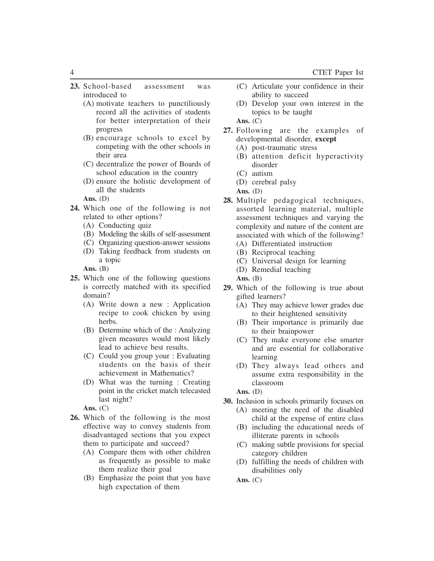- **23.** School-based assessment was introduced to
	- (A) motivate teachers to punctiliously record all the activities of students for better interpretation of their progress
	- (B) encourage schools to excel by competing with the other schools in their area
	- (C) decentralize the power of Boards of school education in the country
	- (D) ensure the holistic development of all the students
	- **Ans.** (D)
- **24.** Which one of the following is not related to other options?
	- (A) Conducting quiz
	- (B) Modeling the skills of self-assessment
	- (C) Organizing question-answer sessions
	- (D) Taking feedback from students on a topic

Ans. **(B)** 

- **25.** Which one of the following questions is correctly matched with its specified domain?
	- (A) Write down a new : Application recipe to cook chicken by using herbs.
	- (B) Determine which of the : Analyzing given measures would most likely lead to achieve best results.
	- (C) Could you group your : Evaluating students on the basis of their achievement in Mathematics?
	- (D) What was the turning : Creating point in the cricket match telecasted last night?

**Ans.** (C)

- **26.** Which of the following is the most effective way to convey students from disadvantaged sections that you expect them to participate and succeed?
	- (A) Compare them with other children as frequently as possible to make them realize their goal
	- (B) Emphasize the point that you have high expectation of them
- (C) Articulate your confidence in their ability to succeed
- (D) Develop your own interest in the topics to be taught

**Ans.** (C)

- **27.** Following are the examples of developmental disorder, **except**
	- (A) post-traumatic stress
	- (B) attention deficit hyperactivity disorder
	- (C) autism
	- (D) cerebral palsy
	- **Ans.** (D)
- **28.** Multiple pedagogical techniques, assorted learning material, multiple assessment techniques and varying the complexity and nature of the content are associated with which of the following? (A) Differentiated instruction
	- (B) Reciprocal teaching
	-
	- (C) Universal design for learning
	- (D) Remedial teaching

**Ans.** (B)

- **29.** Which of the following is true about gifted learners?
	- (A) They may achieve lower grades due to their heightened sensitivity
	- (B) Their importance is primarily due to their brainpower
	- (C) They make everyone else smarter and are essential for collaborative learning
	- (D) They always lead others and assume extra responsibility in the classroom

**Ans.** (D)

- **30.** Inclusion in schools primarily focuses on
	- (A) meeting the need of the disabled child at the expense of entire class
	- (B) including the educational needs of illiterate parents in schools
	- (C) making subtle provisions for special category children
	- (D) fulfilling the needs of children with disabilities only

**Ans.** (C)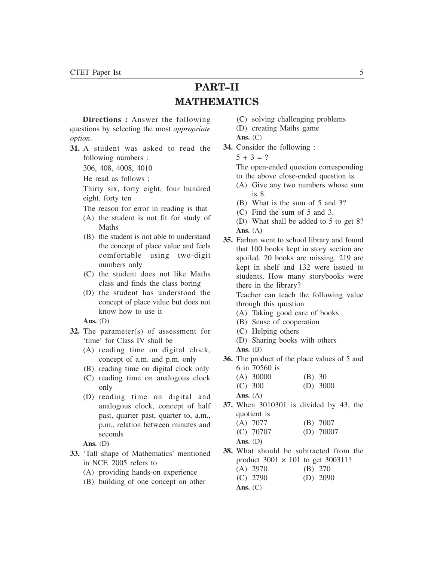## **PART–II MATHEMATICS**

**Directions :** Answer the following questions by selecting the most *appropriate option*.

- **31.** A student was asked to read the following numbers :
	- 306, 408, 4008, 4010
	- He read as follows :

Thirty six, forty eight, four hundred eight, forty ten

- The reason for error in reading is that
- (A) the student is not fit for study of Maths
- (B) the student is not able to understand the concept of place value and feels comfortable using two-digit numbers only
- (C) the student does not like Maths class and finds the class boring
- (D) the student has understood the concept of place value but does not know how to use it

**Ans.** (D)

- **32.** The parameter(s) of assessment for 'time' for Class IV shall be
	- (A) reading time on digital clock, concept of a.m. and p.m. only
	- (B) reading time on digital clock only
	- (C) reading time on analogous clock only
	- (D) reading time on digital and analogous clock, concept of half past, quarter past, quarter to, a.m., p.m., relation between minutes and seconds
	- **Ans.** (D)
- **33.** 'Tall shape of Mathematics' mentioned in NCF, 2005 refers to
	- (A) providing hands-on experience
	- (B) building of one concept on other
- (C) solving challenging problems
- (D) creating Maths game
- **Ans.** (C)
- **34.** Consider the following :
	- $5 + 3 = ?$

The open-ended question corresponding to the above close-ended question is

- (A) Give any two numbers whose sum is 8.
- (B) What is the sum of 5 and 3?
- (C) Find the sum of 5 and 3.
- (D) What shall be added to 5 to get 8? **Ans.** (A)
- **35.** Farhan went to school library and found that 100 books kept in story section are spoiled. 20 books are missing. 219 are kept in shelf and 132 were issued to students. How many storybooks were there in the library?

Teacher can teach the following value through this question

- (A) Taking good care of books
- (B) Sense of cooperation
- (C) Helping others
- (D) Sharing books with others
- Ans. **(B)**

**Ans.** (C)

- **36.** The product of the place values of 5 and 6 in 70560 is
	- (A) 30000 (B) 30<br>(C) 300 (D) 30  $(D) 3000$

**Ans.** (A)

**37.** When 3010301 is divided by 43, the quotient is

|            | $(A)$ 7077  | $(B)$ 7007  |
|------------|-------------|-------------|
|            | $(C)$ 70707 | $(D)$ 70007 |
| Ans. $(D)$ |             |             |

- **38.** What should be subtracted from the product  $3001 \times 101$  to get  $300311$ ? (A) 2970 (B) 270
	- (C) 2790 (D) 2090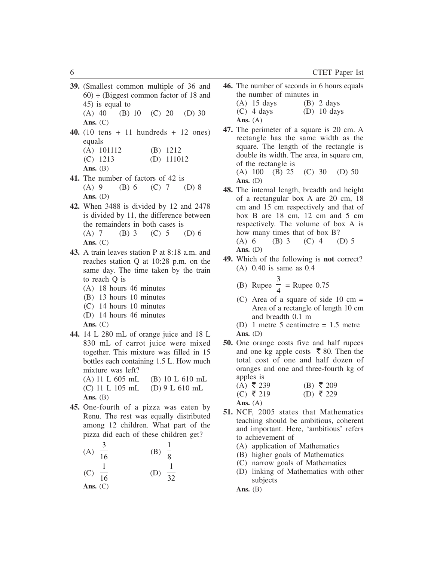**39.** (Smallest common multiple of 36 and  $60$ )  $\div$  (Biggest common factor of 18 and 45) is equal to (A) 40 (B) 10 (C) 20 (D) 30

**Ans.** (C)

- **40.** (10 tens + 11 hundreds + 12 ones) equals
	- (A) 101112 (B) 1212
	- (C) 1213 (D) 111012
	- Ans. **(B)**
- **41.** The number of factors of 42 is (A) 9 (B) 6 (C) 7 (D) 8 **Ans.** (D)
- **42.** When 3488 is divided by 12 and 2478 is divided by 11, the difference between the remainders in both cases is (A) 7 (B) 3 (C) 5 (D) 6 **Ans.** (C)
- **43.** A train leaves station P at 8:18 a.m. and reaches station Q at 10:28 p.m. on the same day. The time taken by the train to reach Q is
	- (A) 18 hours 46 minutes
	- (B) 13 hours 10 minutes
	- (C) 14 hours 10 minutes
	- (D) 14 hours 46 minutes
	- **Ans.** (C)
- **44.** 14 L 280 mL of orange juice and 18 L 830 mL of carrot juice were mixed together. This mixture was filled in 15 bottles each containing 1.5 L. How much mixture was left?
	- (A) 11 L 605 mL (B) 10 L 610 mL (C) 11 L 105 mL (D) 9 L 610 mL Ans. **(B)**
- **45.** One-fourth of a pizza was eaten by Renu. The rest was equally distributed among 12 children. What part of the pizza did each of these children get?

(A) 
$$
\frac{3}{16}
$$
 \t\t (B)  $\frac{1}{8}$    
 (C)  $\frac{1}{16}$  \t\t (D)  $\frac{1}{32}$ 

**Ans.** (C)

- **46.** The number of seconds in 6 hours equals the number of minutes in
	- (A)  $15 \text{ days}$  (B)  $2 \text{ days}$
	- $(C)$  4 days  $(D)$  10 days
	- **Ans.** (A)
- **47.** The perimeter of a square is 20 cm. A rectangle has the same width as the square. The length of the rectangle is double its width. The area, in square cm, of the rectangle is (A) 100 (B) 25 (C) 30 (D) 50

**Ans.** (D)

- **48.** The internal length, breadth and height of a rectangular box A are 20 cm, 18 cm and 15 cm respectively and that of box B are 18 cm, 12 cm and 5 cm respectively. The volume of box A is how many times that of box B? (A) 6 (B) 3 (C) 4 (D) 5 **Ans.** (D)
- **49.** Which of the following is **not** correct? (A) 0.40 is same as 0.4

(B) Runee 
$$
\frac{3}{4}
$$
 = Runee 0.75

 $\mathcal{L}$ 

- (C) Area of a square of side  $10 \text{ cm} =$ Area of a rectangle of length 10 cm and breadth 0.1 m
- (D) 1 metre 5 centimetre = 1.5 metre **Ans.** (D)
- **50.** One orange costs five and half rupees and one kg apple costs  $\bar{\bar{\xi}}$  80. Then the total cost of one and half dozen of oranges and one and three-fourth kg of apples is
	- $(A)$  ₹ 239 (B) ₹ 209<br>
	(C) ₹ 219 (D) ₹ 229  $(D)$   $\bar{z}$  229
	- **Ans.** (A)
- **51.** NCF, 2005 states that Mathematics teaching should be ambitious, coherent and important. Here, 'ambitious' refers to achievement of
	- (A) application of Mathematics
	- (B) higher goals of Mathematics
	- (C) narrow goals of Mathematics
	- (D) linking of Mathematics with other subjects

Ans. **(B)**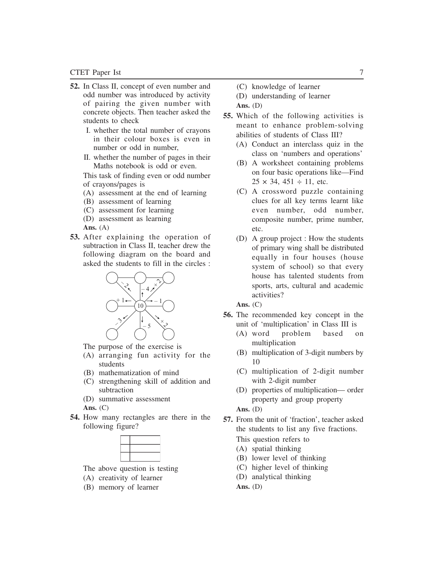- **52.** In Class II, concept of even number and odd number was introduced by activity of pairing the given number with concrete objects. Then teacher asked the students to check
	- I. whether the total number of crayons in their colour boxes is even in number or odd in number,
	- II. whether the number of pages in their Maths notebook is odd or even.

This task of finding even or odd number of crayons/pages is

- (A) assessment at the end of learning
- (B) assessment of learning
- (C) assessment for learning
- (D) assessment as learning

**Ans.** (A)

**53.** After explaining the operation of subtraction in Class II, teacher drew the following diagram on the board and asked the students to fill in the circles :



The purpose of the exercise is

- (A) arranging fun activity for the students
- (B) mathematization of mind
- (C) strengthening skill of addition and subtraction
- (D) summative assessment
- **Ans.** (C)
- **54.** How many rectangles are there in the following figure?

The above question is testing

- (A) creativity of learner
- (B) memory of learner
- (C) knowledge of learner
- (D) understanding of learner
- **Ans.** (D)
- **55.** Which of the following activities is meant to enhance problem-solving abilities of students of Class III?
	- (A) Conduct an interclass quiz in the class on 'numbers and operations'
	- (B) A worksheet containing problems on four basic operations like—Find  $25 \times 34, 451 \div 11,$  etc.
	- (C) A crossword puzzle containing clues for all key terms learnt like even number, odd number, composite number, prime number, etc.
	- (D) A group project : How the students of primary wing shall be distributed equally in four houses (house system of school) so that every house has talented students from sports, arts, cultural and academic activities?

**Ans.** (C)

- **56.** The recommended key concept in the unit of 'multiplication' in Class III is
	- (A) word problem based on multiplication
	- (B) multiplication of 3-digit numbers by 10
	- (C) multiplication of 2-digit number with 2-digit number
	- (D) properties of multiplication— order property and group property

**Ans.** (D)

- **57.** From the unit of 'fraction', teacher asked the students to list any five fractions. This question refers to
	- (A) spatial thinking
	- (B) lower level of thinking
	- (C) higher level of thinking
	- (D) analytical thinking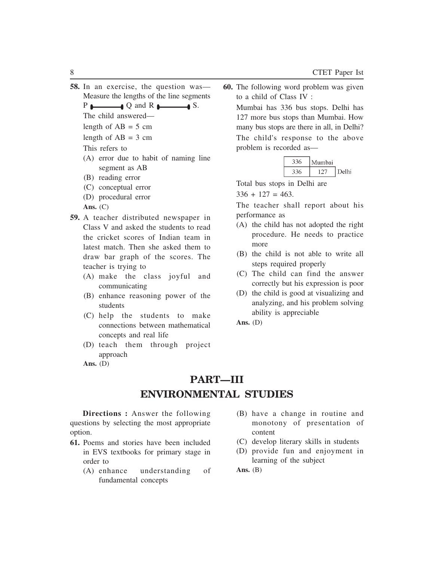**58.** In an exercise, the question was— Measure the lengths of the line segments

 $P \longleftarrow Q$  and R  $\longleftarrow$  S.

The child answered—

length of  $AB = 5$  cm

length of  $AB = 3$  cm

This refers to

- (A) error due to habit of naming line segment as AB
- (B) reading error
- (C) conceptual error
- (D) procedural error

**Ans.** (C)

- **59.** A teacher distributed newspaper in Class V and asked the students to read the cricket scores of Indian team in latest match. Then she asked them to draw bar graph of the scores. The teacher is trying to
	- (A) make the class joyful and communicating
	- (B) enhance reasoning power of the students
	- (C) help the students to make connections between mathematical concepts and real life
	- (D) teach them through project approach

**Ans.** (D)

**60.** The following word problem was given to a child of Class IV :

Mumbai has 336 bus stops. Delhi has 127 more bus stops than Mumbai. How many bus stops are there in all, in Delhi? The child's response to the above problem is recorded as—

| -336 | Mumbai |       |
|------|--------|-------|
| 336  | 177    | Delhi |

Total bus stops in Delhi are

 $336 + 127 = 463$ .

The teacher shall report about his performance as

- (A) the child has not adopted the right procedure. He needs to practice more
- (B) the child is not able to write all steps required properly
- (C) The child can find the answer correctly but his expression is poor
- (D) the child is good at visualizing and analyzing, and his problem solving ability is appreciable

**Ans.** (D)

**PART—III ENVIRONMENTAL STUDIES**

**Directions :** Answer the following questions by selecting the most appropriate option.

- **61.** Poems and stories have been included in EVS textbooks for primary stage in order to
	- (A) enhance understanding of fundamental concepts
- (B) have a change in routine and monotony of presentation of content
- (C) develop literary skills in students
- (D) provide fun and enjoyment in learning of the subject

Ans. **(B)**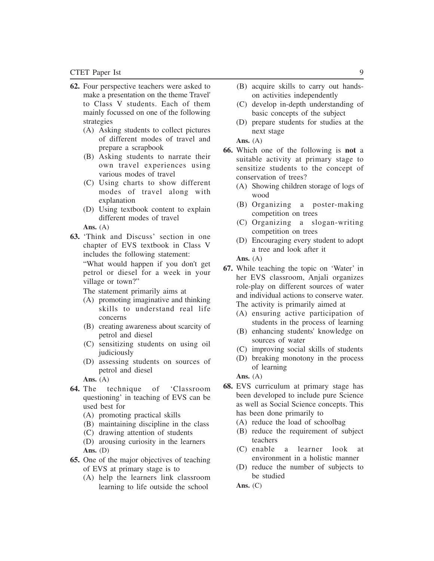- **62.** Four perspective teachers were asked to make a presentation on the theme Travel' to Class V students. Each of them mainly focussed on one of the following strategies
	- (A) Asking students to collect pictures of different modes of travel and prepare a scrapbook
	- (B) Asking students to narrate their own travel experiences using various modes of travel
	- (C) Using charts to show different modes of travel along with explanation
	- (D) Using textbook content to explain different modes of travel

**Ans.** (A)

**63.** 'Think and Discuss' section in one chapter of EVS textbook in Class V includes the following statement:

"What would happen if you don't get petrol or diesel for a week in your village or town?"

The statement primarily aims at

- (A) promoting imaginative and thinking skills to understand real life concerns
- (B) creating awareness about scarcity of petrol and diesel
- (C) sensitizing students on using oil judiciously
- (D) assessing students on sources of petrol and diesel

**Ans.** (A)

- **64.** The technique of 'Classroom questioning' in teaching of EVS can be used best for
	- (A) promoting practical skills
	- (B) maintaining discipline in the class
	- (C) drawing attention of students
	- (D) arousing curiosity in the learners **Ans.** (D)
- **65.** One of the major objectives of teaching of EVS at primary stage is to
	- (A) help the learners link classroom learning to life outside the school
- (B) acquire skills to carry out handson activities independently
- (C) develop in-depth understanding of basic concepts of the subject
- (D) prepare students for studies at the next stage

**Ans.** (A)

- **66.** Which one of the following is **not** a suitable activity at primary stage to sensitize students to the concept of conservation of trees?
	- (A) Showing children storage of logs of wood
	- (B) Organizing a poster-making competition on trees
	- (C) Organizing a slogan-writing competition on trees
	- (D) Encouraging every student to adopt a tree and look after it

**Ans.** (A)

- **67.** While teaching the topic on 'Water' in her EVS classroom, Anjali organizes role-play on different sources of water and individual actions to conserve water. The activity is primarily aimed at
	- (A) ensuring active participation of students in the process of learning
	- (B) enhancing students' knowledge on sources of water
	- (C) improving social skills of students
	- (D) breaking monotony in the process of learning

**Ans.** (A)

- **68.** EVS curriculum at primary stage has been developed to include pure Science as well as Social Science concepts. This has been done primarily to
	- (A) reduce the load of schoolbag
	- (B) reduce the requirement of subject teachers
	- (C) enable a learner look at environment in a holistic manner
	- (D) reduce the number of subjects to be studied

**Ans.** (C)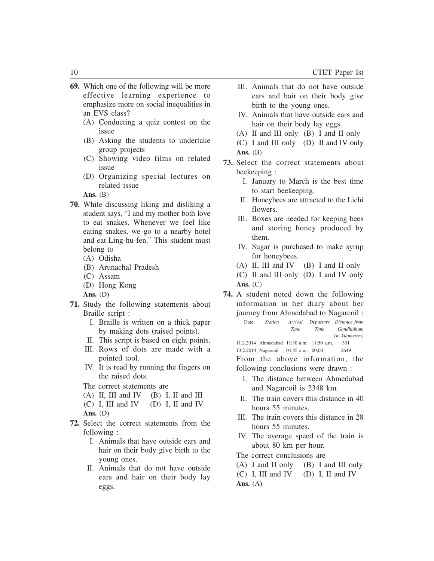- **69.** Which one of the following will be more effective learning experience to emphasize more on social inequalities in an EVS class?
	- (A) Conducting a quiz contest on the issue
	- (B) Asking the students to undertake group projects
	- (C) Showing video films on related issue
	- (D) Organizing special lectures on related issue

Ans. **(B)** 

- **70.** While discussing liking and disliking a student says, "I and my mother both love to eat snakes. Whenever we feel like eating snakes, we go to a nearby hotel and eat Ling-hu-fen." This student must belong to
	- (A) Odisha
	- (B) Arunachal Pradesh
	- (C) Assam
	- (D) Hong Kong
	- **Ans.** (D)
- **71.** Study the following statements about Braille script :
	- I. Braille is written on a thick paper by making dots (raised points).
	- II. This script is based on eight points.
	- III. Rows of dots are made with a pointed tool.
	- IV. It is read by running the fingers on the raised dots.
	- The correct statements are
	- $(A)$  II, III and IV  $(B)$  I, II and III
	- (C) I, III and IV (D) I, II and IV
	- **Ans.** (D)
- **72.** Select the correct statements from the following :
	- I. Animals that have outside ears and hair on their body give birth to the young ones.
	- II. Animals that do not have outside ears and hair on their body lay eggs.
- III. Animals that do not have outside ears and hair on their body give birth to the young ones.
- IV. Animals that have outside ears and hair on their body lay eggs.
- (A) II and III only (B) I and II only
- (C) I and III only (D) II and IV only Ans. **(B)**
- **73.** Select the correct statements about beekeeping :
	- I. January to March is the best time to start beekeeping.
	- II. Honeybees are attracted to the Lichi flowers.
	- III. Boxes are needed for keeping bees and storing honey produced by them.
	- IV. Sugar is purchased to make syrup for honeybees.
	- (A) II, III and IV (B) I and II only
	- (C) II and III only (D) I and IV only **Ans.** (C)
- **74.** A student noted down the following information in her diary about her journey from Ahmedabad to Nagarcoil :
	- Date *Station Arrival Departure Distance from Time Time Gandhidham (in kilometres)* 11.2.2014 Ahmedabad 11:30 a.m. 11:50 a.m. 301

13.2.2014 Nagarcoil 04:45 a.m. 00:00 2649

From the above information, the following conclusions were drawn :

- I. The distance between Ahmedabad and Nagarcoil is 2348 km.
- II. The train covers this distance in 40 hours 55 minutes.
- III. The train covers this distance in 28 hours 55 minutes.
- IV. The average speed of the train is about 80 km per hour.
- The correct conclusions are
- (A) I and II only (B) I and III only
- (C) I, III and IV (D) I, II and IV
- **Ans.** (A)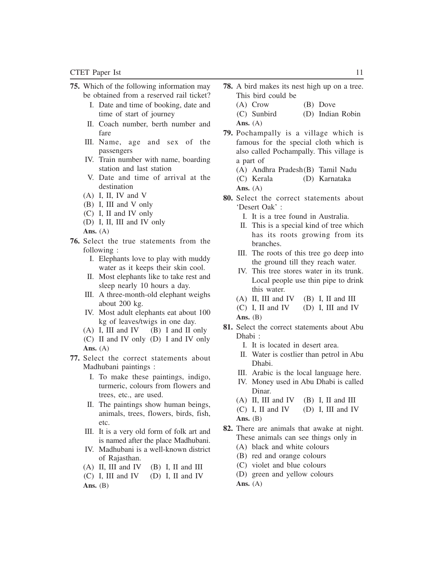- **75.** Which of the following information may be obtained from a reserved rail ticket?
	- I. Date and time of booking, date and time of start of journey
	- II. Coach number, berth number and fare
	- III. Name, age and sex of the passengers
	- IV. Train number with name, boarding station and last station
	- V. Date and time of arrival at the destination
	- (A) I, II, IV and V
	- (B) I, III and V only
	- (C) I, II and IV only
	- (D) I, II, III and IV only
	- **Ans.** (A)
- **76.** Select the true statements from the following :
	- I. Elephants love to play with muddy water as it keeps their skin cool.
	- II. Most elephants like to take rest and sleep nearly 10 hours a day.
	- III. A three-month-old elephant weighs about 200 kg.
	- IV. Most adult elephants eat about 100 kg of leaves/twigs in one day.
	- (A) I, III and IV (B) I and II only
	- (C) II and IV only (D) I and IV only **Ans.** (A)
- **77.** Select the correct statements about Madhubani paintings :
	- I. To make these paintings, indigo, turmeric, colours from flowers and trees, etc., are used.
	- II. The paintings show human beings, animals, trees, flowers, birds, fish, etc.
	- III. It is a very old form of folk art and is named after the place Madhubani.
	- IV. Madhubani is a well-known district of Rajasthan.
	- (A) II, III and IV (B) I, II and III
	- (C) I, III and IV (D) I, II and IV
	- Ans. **(B)**
- **78.** A bird makes its nest high up on a tree. This bird could be
	- (A) Crow (B) Dove
	- (C) Sunbird (D) Indian Robin **Ans.** (A)
- **79.** Pochampally is a village which is famous for the special cloth which is also called Pochampally. This village is a part of
	- (A) Andhra Pradesh(B) Tamil Nadu
	- (C) Kerala (D) Karnataka **Ans.** (A)
- **80.** Select the correct statements about 'Desert Oak' :
	- I. It is a tree found in Australia.
	- II. This is a special kind of tree which has its roots growing from its branches.
	- III. The roots of this tree go deep into the ground till they reach water.
	- IV. This tree stores water in its trunk. Local people use thin pipe to drink this water.
	- (A) II, III and IV (B) I, II and III
	- (C) I, II and IV (D) I, III and IV **Ans.** (B)
- **81.** Select the correct statements about Abu Dhabi :
	- I. It is located in desert area.
	- II. Water is costlier than petrol in Abu Dhabi.
	- III. Arabic is the local language here.
	- IV. Money used in Abu Dhabi is called Dinar.
	- (A) II, III and IV (B) I, II and III
	- (C) I, II and IV (D) I, III and IV **Ans.** (B)
- **82.** There are animals that awake at night. These animals can see things only in
	- (A) black and white colours
	- (B) red and orange colours
	- (C) violet and blue colours
	- (D) green and yellow colours

**Ans.** (A)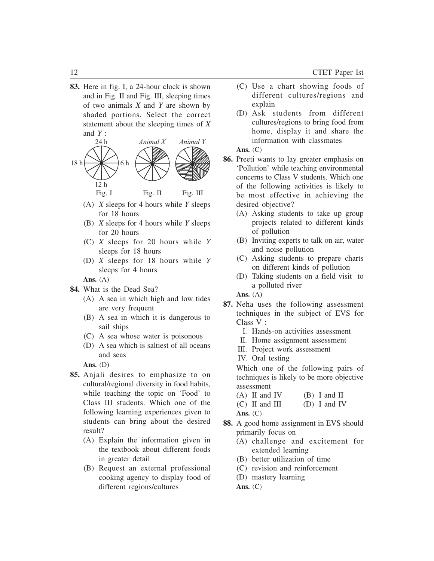**83.** Here in fig. I, a 24-hour clock is shown and in Fig. II and Fig. III, sleeping times of two animals *X* and *Y* are shown by shaded portions. Select the correct statement about the sleeping times of *X* and  $Y$  :



Fig. I Fig. II Fig. III

- (A) *X* sleeps for 4 hours while *Y* sleeps for 18 hours
- (B) *X* sleeps for 4 hours while *Y* sleeps for 20 hours
- (C) *X* sleeps for 20 hours while *Y* sleeps for 18 hours
- (D) *X* sleeps for 18 hours while *Y* sleeps for 4 hours

**Ans.** (A)

- **84.** What is the Dead Sea?
	- (A) A sea in which high and low tides are very frequent
	- (B) A sea in which it is dangerous to sail ships
	- (C) A sea whose water is poisonous
	- (D) A sea which is saltiest of all oceans and seas

**Ans.** (D)

- **85.** Anjali desires to emphasize to on cultural/regional diversity in food habits, while teaching the topic on 'Food' to Class III students. Which one of the following learning experiences given to students can bring about the desired result?
	- (A) Explain the information given in the textbook about different foods in greater detail
	- (B) Request an external professional cooking agency to display food of different regions/cultures
- (C) Use a chart showing foods of different cultures/regions and explain
- (D) Ask students from different cultures/regions to bring food from home, display it and share the information with classmates

#### **Ans.** (C)

- **86.** Preeti wants to lay greater emphasis on 'Pollution' while teaching environmental concerns to Class V students. Which one of the following activities is likely to be most effective in achieving the desired objective?
	- (A) Asking students to take up group projects related to different kinds of pollution
	- (B) Inviting experts to talk on air, water and noise pollution
	- (C) Asking students to prepare charts on different kinds of pollution
	- (D) Taking students on a field visit to a polluted river

**Ans.** (A)

- **87.** Neha uses the following assessment techniques in the subject of EVS for Class V :
	- I. Hands-on activities assessment
	- II. Home assignment assessment
	- III. Project work assessment
	- IV. Oral testing

Which one of the following pairs of techniques is likely to be more objective assessment

- $(A)$  II and IV  $(B)$  I and II
- (C) II and III (D) I and IV

**Ans.** (C)

- **88.** A good home assignment in EVS should primarily focus on
	- (A) challenge and excitement for extended learning
	- (B) better utilization of time
	- (C) revision and reinforcement
	- (D) mastery learning **Ans.** (C)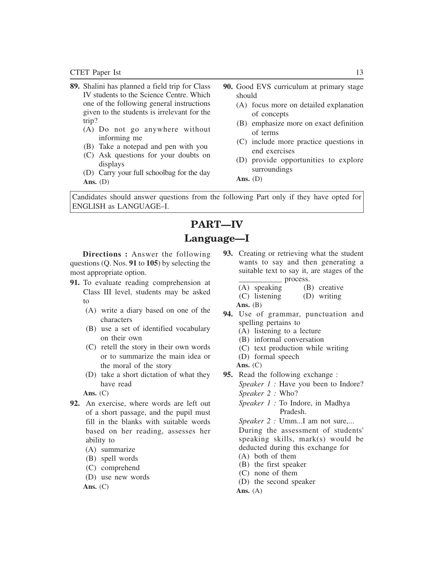- **89.** Shalini has planned a field trip for Class IV students to the Science Centre. Which one of the following general instructions given to the students is irrelevant for the trip?
	- (A) Do not go anywhere without informing me
	- (B) Take a notepad and pen with you
	- (C) Ask questions for your doubts on displays
	- (D) Carry your full schoolbag for the day **Ans.** (D)
- **90.** Good EVS curriculum at primary stage should
	- (A) focus more on detailed explanation of concepts
	- (B) emphasize more on exact definition of terms
	- (C) include more practice questions in end exercises
	- (D) provide opportunities to explore surroundings

Candidates should answer questions from the following Part only if they have opted for ENGLISH as LANGUAGE–I.

### **PART—IV Language—I**

**Directions :** Answer the following questions (Q. Nos. **91** to **105**) by selecting the most appropriate option.

- **91.** To evaluate reading comprehension at Class III level, students may be asked to
	- (A) write a diary based on one of the characters
	- (B) use a set of identified vocabulary on their own
	- (C) retell the story in their own words or to summarize the main idea or the moral of the story
	- (D) take a short dictation of what they have read

**Ans.** (C)

- **92.** An exercise, where words are left out of a short passage, and the pupil must fill in the blanks with suitable words based on her reading, assesses her ability to
	- (A) summarize
	- (B) spell words
	- (C) comprehend
	- (D) use new words

**Ans.** (C)

- **93.** Creating or retrieving what the student wants to say and then generating a suitable text to say it, are stages of the \_\_\_\_\_\_\_\_\_\_\_ process.
	- (A) speaking (B) creative (C) listening (D) writing Ans. **(B)**
- **94.** Use of grammar, punctuation and spelling pertains to
	- (A) listening to a lecture
	- (B) informal conversation
	- (C) text production while writing
	- (D) formal speech
	- **Ans.** (C)
- **95.** Read the following exchange :

*Speaker 1 :* Have you been to Indore? *Speaker 2 :* Who?

*Speaker 1 :* To Indore, in Madhya Pradesh.

*Speaker 2 :* Umm...I am not sure,...

During the assessment of students' speaking skills, mark(s) would be deducted during this exchange for

- (A) both of them
- (B) the first speaker
- (C) none of them
- (D) the second speaker

**Ans.** (A)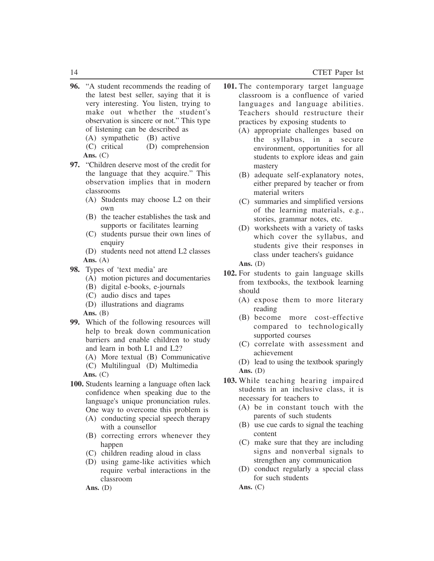- **96.** "A student recommends the reading of the latest best seller, saying that it is very interesting. You listen, trying to make out whether the student's observation is sincere or not." This type of listening can be described as
	- (A) sympathetic (B) active<br>(C) critical (D) compr  $(D)$  comprehension **Ans.** (C)
- **97.** "Children deserve most of the credit for the language that they acquire." This observation implies that in modern classrooms
	- (A) Students may choose L2 on their own
	- (B) the teacher establishes the task and supports or facilitates learning
	- (C) students pursue their own lines of enquiry
	- (D) students need not attend L2 classes **Ans.** (A)
- **98.** Types of 'text media' are
	- (A) motion pictures and documentaries
	- (B) digital e-books, e-journals
	- (C) audio discs and tapes
	- (D) illustrations and diagrams
	- Ans. **(B)**
- **99.** Which of the following resources will help to break down communication barriers and enable children to study and learn in both L1 and L2?
	- (A) More textual (B) Communicative (C) Multilingual (D) Multimedia
	- **Ans.** (C)
- **100.** Students learning a language often lack
	- confidence when speaking due to the language's unique pronunciation rules.
		- One way to overcome this problem is
		- (A) conducting special speech therapy with a counsellor
		- (B) correcting errors whenever they happen
		- (C) children reading aloud in class
		- (D) using game-like activities which require verbal interactions in the classroom

- **101.** The contemporary target language classroom is a confluence of varied languages and language abilities. Teachers should restructure their practices by exposing students to
	- (A) appropriate challenges based on the syllabus, in a secure environment, opportunities for all students to explore ideas and gain mastery
	- (B) adequate self-explanatory notes, either prepared by teacher or from material writers
	- (C) summaries and simplified versions of the learning materials, e.g., stories, grammar notes, etc.
	- (D) worksheets with a variety of tasks which cover the syllabus, and students give their responses in class under teachers's guidance
	- **Ans.** (D)
- **102.** For students to gain language skills from textbooks, the textbook learning should
	- (A) expose them to more literary reading
	- (B) become more cost-effective compared to technologically supported courses
	- (C) correlate with assessment and achievement
	- (D) lead to using the textbook sparingly **Ans.** (D)
- **103.** While teaching hearing impaired students in an inclusive class, it is necessary for teachers to
	- (A) be in constant touch with the parents of such students
	- (B) use cue cards to signal the teaching content
	- (C) make sure that they are including signs and nonverbal signals to strengthen any communication
	- (D) conduct regularly a special class for such students

**Ans.** (C)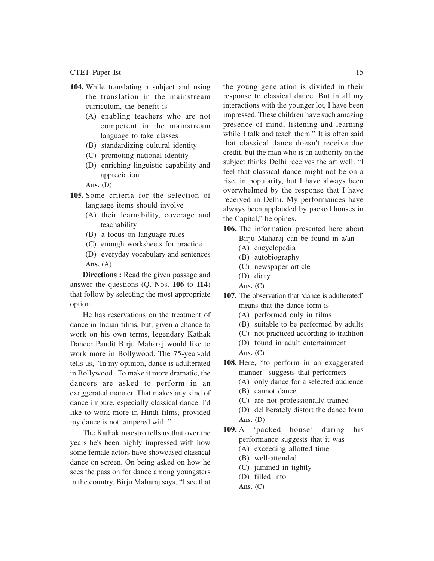- **104.** While translating a subject and using the translation in the mainstream curriculum, the benefit is
	- (A) enabling teachers who are not competent in the mainstream language to take classes
	- (B) standardizing cultural identity
	- (C) promoting national identity
	- (D) enriching linguistic capability and appreciation

- **105.** Some criteria for the selection of language items should involve
	- (A) their learnability, coverage and teachability
	- (B) a focus on language rules
	- (C) enough worksheets for practice
	- (D) everyday vocabulary and sentences **Ans.** (A)

**Directions :** Read the given passage and answer the questions (Q. Nos. **106** to **114**) that follow by selecting the most appropriate option.

He has reservations on the treatment of dance in Indian films, but, given a chance to work on his own terms, legendary Kathak Dancer Pandit Birju Maharaj would like to work more in Bollywood. The 75-year-old tells us, "In my opinion, dance is adulterated in Bollywood . To make it more dramatic, the dancers are asked to perform in an exaggerated manner. That makes any kind of dance impure, especially classical dance. I'd like to work more in Hindi films, provided my dance is not tampered with."

The Kathak maestro tells us that over the years he's been highly impressed with how some female actors have showcased classical dance on screen. On being asked on how he sees the passion for dance among youngsters in the country, Birju Maharaj says, "I see that

the young generation is divided in their response to classical dance. But in all my interactions with the younger lot, I have been impressed. These children have such amazing presence of mind, listening and learning while I talk and teach them." It is often said that classical dance doesn't receive due credit, but the man who is an authority on the subject thinks Delhi receives the art well. "I feel that classical dance might not be on a rise, in popularity, but I have always been overwhelmed by the response that I have received in Delhi. My performances have always been applauded by packed houses in the Capital," he opines.

- **106.** The information presented here about Birju Maharaj can be found in a/an
	- (A) encyclopedia
	- (B) autobiography
	- (C) newspaper article
	- (D) diary
	- **Ans.** (C)
- **107.** The observation that 'dance is adulterated' means that the dance form is
	- (A) performed only in films
	- (B) suitable to be performed by adults
	- (C) not practiced according to tradition
	- (D) found in adult entertainment
	- **Ans.** (C)
- **108.** Here, "to perform in an exaggerated manner" suggests that performers
	- (A) only dance for a selected audience
	- (B) cannot dance
	- (C) are not professionally trained
	- (D) deliberately distort the dance form **Ans.** (D)
- **109.** A 'packed house' during his performance suggests that it was
	- (A) exceeding allotted time
	- (B) well-attended
	- (C) jammed in tightly
	- (D) filled into
	- **Ans.** (C)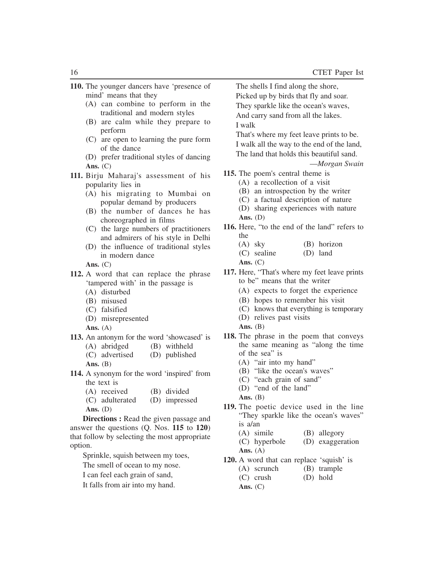- **110.** The younger dancers have 'presence of mind' means that they
	- (A) can combine to perform in the traditional and modern styles
	- (B) are calm while they prepare to perform
	- (C) are open to learning the pure form of the dance
	- (D) prefer traditional styles of dancing **Ans.** (C)
- **111.** Birju Maharaj's assessment of his popularity lies in
	- (A) his migrating to Mumbai on popular demand by producers
	- (B) the number of dances he has choreographed in films
	- (C) the large numbers of practitioners and admirers of his style in Delhi
	- (D) the influence of traditional styles in modern dance

**Ans.** (C)

- **112.** A word that can replace the phrase 'tampered with' in the passage is
	- (A) disturbed
	- (B) misused
	- (C) falsified
	- (D) misrepresented
	- **Ans.** (A)
- **113.** An antonym for the word 'showcased' is
	- (A) abridged (B) withheld (C) advertised (D) published
	- **Ans.** (B)
- **114.** A synonym for the word 'inspired' from the text is
	- (A) received (B) divided
	- (C) adulterated (D) impressed **Ans.** (D)

**Directions :** Read the given passage and answer the questions (Q. Nos. **115** to **120**) that follow by selecting the most appropriate option.

- Sprinkle, squish between my toes,
- The smell of ocean to my nose.
- I can feel each grain of sand,
- It falls from air into my hand.

The shells I find along the shore, Picked up by birds that fly and soar. They sparkle like the ocean's waves, And carry sand from all the lakes. I walk

That's where my feet leave prints to be. I walk all the way to the end of the land, The land that holds this beautiful sand.

—*Morgan Swain*

- **115.** The poem's central theme is
	- (A) a recollection of a visit
	- (B) an introspection by the writer
	- (C) a factual description of nature
	- (D) sharing experiences with nature **Ans.** (D)
- **116.** Here, "to the end of the land" refers to the
	- (A) sky (B) horizon
	- (C) sealine (D) land

**Ans.** (C)

- **117.** Here, "That's where my feet leave prints to be" means that the writer
	- (A) expects to forget the experience
	- (B) hopes to remember his visit
	- (C) knows that everything is temporary
	- (D) relives past visits
	- Ans. (B)
- **118.** The phrase in the poem that conveys the same meaning as "along the time of the sea" is
	- (A) "air into my hand"
	- (B) "like the ocean's waves"
	- (C) "each grain of sand"
	- (D) "end of the land"
	- **Ans.** (B)
- **119.** The poetic device used in the line "They sparkle like the ocean's waves" is a/an
	- (A) simile (B) allegory
	- (C) hyperbole (D) exaggeration
	- **Ans.** (A)
- **120.** A word that can replace 'squish' is
	- (A) scrunch (B) trample<br>
	(C) crush (D) hold
	- $(C)$  crush
	- **Ans.** (C)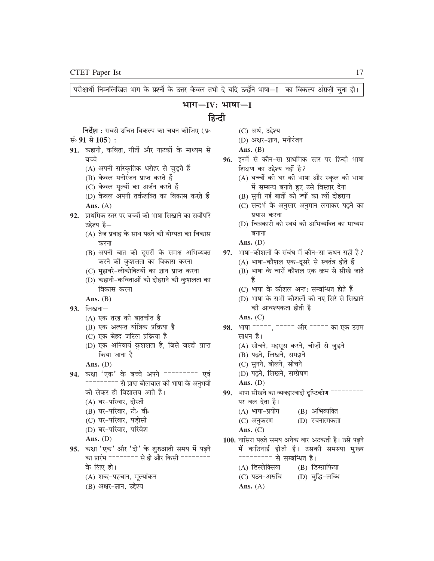बच्चे

परीक्षार्थी निम्नलिखित भाग के प्रश्नों के उत्तर केवल तभी दे यदि उन्होंने भाषा—I का विकल्प अंग्रज़ी चुना हो। भाग $-IV:$  भाषा $-IV$ हिन्दी **निर्देश :** सबसे उचित विकल्प का चयन कोजिए (प्र∘ (C) अर्थ, उद्देश्य सं 91 से 105): (D) अक्षर-ज्ञान, मनोरंजन Ans.  $(B)$ 91. कहानी, कविता, गीतों और नाटकों के माध्यम से 96. इनमें से कौन-सा प्राथमिक स्तर पर हिन्दी भाषा शिक्षण का उद्देश्य नहीं है? (A) अपनी सांस्कृतिक धरोहर से जुड़ते हैं (B) केवल मनोरंजन प्राप्त करते हैं (A) बच्चों की घर की भाषा और स्कूल की भाषा (C) केवल मूल्यों का अर्जन करते हैं में सम्बन्ध बनाते हुए उसे विस्तार देना (D) केवल अपनी तर्कशक्ति का विकास करते हैं (B) सुनी गई बातों को ज्यों का त्यों दोहराना (C) सन्दर्भ के अनुसार अनुमान लगाकर पढ़ने का Ans.  $(A)$ 92. प्राथमिक स्तर पर बच्चों को भाषा सिखाने का सर्वोपरि प्रयास करना (D) चित्रकारी को स्वयं की अभिव्यक्ति का माध्यम उद्देश्य है— (A) तेज़ प्रवाह के साथ पढ़ने की योग्यता का विकास बनाना Ans.  $(D)$ करना (B) अपनी बात को दूसरों के समक्ष अभिव्यक्त 97. भाषा-कौशलों के संबंध में कौन-सा कथन सही है? करने की कुशलता का विकास करना (A) भाषा-कौशल एक-दूसरे से स्वतंत्र होते हैं (C) मुहावरे-लोकोक्तियों का ज्ञान प्राप्त करना (B) भाषा के चारों कौशल एक क्रम से सीखे जाते (D) कहानी-कविताओं को दोहराने की कुशलता का विकास करना (C) भाषा के कौशल अन्त: सम्बन्धित होते हैं (D) भाषा के सभी कौशलों को नए सिरे से सिखाने Ans.  $(B)$ की आवश्यकता होती है  $93.$  लिखना $-$ (A) एक तरह की बातचीत है Ans.  $(C)$ 98. भाषा -----, ----- और ----- का एक उत्तम (B) एक अत्यन्त यांत्रिक प्रक्रिया है (C) एक बेहद जटिल प्रक्रिया है साधन है। (D) एक अनिवार्य कुशलता है, जिसे जल्दी प्राप्त (A) सोचने, महसूस करने, चीज़ों से जुड़ने (B) पढ़ने, लिखने, समझने किया जाना है (C) सुनने, बोलने, सोचने Ans.  $(D)$ 94. कक्षा 'एक' के बच्चे अपने -------- एवं (D) पढ़ने, लिखने, सम्प्रेषण --------- से प्राप्त बोलचाल की भाषा के अनुभवों Ans.  $(D)$ को लेकर ही विद्यालय आते हैं। 99. भाषा सीखने का व्यवहारवादी दृष्टिकोण  $--$ (A) घर-परिवार, दोस्तों पर बल देता है। (B) अभिव्यक्ति (B) घर-परिवार, टी॰ वी॰ (A) भाषा-प्रयोग (C) घर-परिवार, पड़ोसी (D) रचनात्मकता (C) अनुकरण (D) घर-परिवार, परिवेश Ans.  $(C)$ Ans.  $(D)$ 100. नासिरा पढ़ते समय अनेक बार अटकती है। उसे पढ़ने 95. कक्षा 'एक' और 'दो' के शुरुआती समय में पढ़ने में कठिनाई होती है। उसकी समस्या मुख्य का प्रारंभ  $\overline{\phantom{a}}$  ========= से हो और किसी  $\overline{\phantom{a}}$ -------- से सम्बन्धित है। के लिए हो। (A) डिस्लेक्सिया (B) डिस्ग्राफिया (D) बुद्धि-लब्धि (A) शब्द-पहचान, मूल्यांकन (C) पठन-अरुचि

Ans.  $(A)$ 

(B) अक्षर-ज्ञान, उद्देश्य

17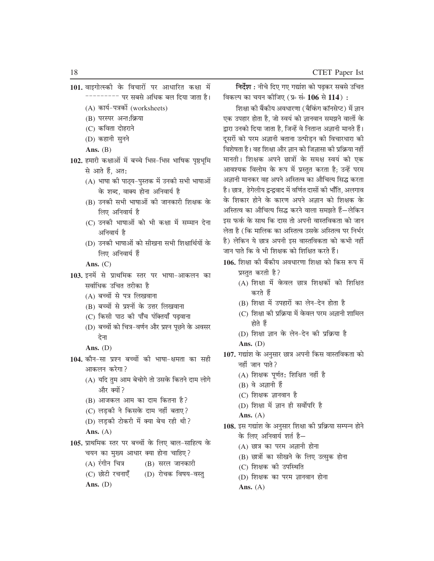- 101. वाइगोत्स्की के विचारों पर आधारित कक्षा में --------- पर सबसे अधिक बल दिया जाता है। (A) कार्य-पत्रकों (worksheets) (B) परस्पर अन्त:क्रिया
	- (C) कविता दोहराने
	- (D) कहानी सुनने
	- Ans.  $(B)$
- 102. हमारी कक्षाओं में बच्चे भिन्न-भिन्न भाषिक पृष्ठभूमि से आते हैं, अत:
	- (A) भाषा की पाठ्य-पुस्तक में उनकी सभी भाषाओं के शब्द, वाक्य होना अनिवार्य है
	- (B) उनकी सभी भाषाओं की जानकारी शिक्षक के लिए अनिवार्य है
	- (C) उनकी भाषाओं को भी कक्षा में सम्मान देना अनिवार्य है
	- (D) उनकी भाषाओं को सीखना सभी शिक्षार्थियों के लिए अनिवार्य हैं
	- Ans.  $(C)$
- 103. इनमें से प्राथमिक स्तर पर भाषा-आकलन का सर्वाधिक उचित तरीका है
	- (A) बच्चों से पत्र लिखवाना
	- (B) बच्चों से प्रश्नों के उत्तर लिखवाना
	- (C) किसी पाठ की पाँच पंक्तियाँ पढ़वाना
	- (D) बच्चों को चित्र-वर्णन और प्रश्न पूछने के अवसर देना

- 104. कौन-सा प्रश्न बच्चों की भाषा-क्षमता का सही आकलन करेगा?
	- (A) यदि तुम आम बेचोगे तो उसके कितने दाम लोगे और क्यों ?
	- (B) आजकल आम का दाम कितना है?
	- (C) लड़की ने किसके दाम नहीं बताए?
	- (D) लड़की टोकरी में क्या बेच रही थी?

#### Ans.  $(A)$

- 105. प्राथमिक स्तर पर बच्चों के लिए बाल-साहित्य के चयन का मुख्य आधार क्या होना चाहिए?
	- $(A)$  रंगीन चित्र (B) सरल जानकारी
	- (C) छोटी रचनाएँ (D) रोचक विषय-वस्तु

Ans.  $(D)$ 

निर्देश : नीचे दिए गए गद्यांश को पढकर सबसे उचित विकल्प का चयन कोजिए (प्र∘ सं∘ 106 से 114) :

शिक्षा की बैंकीय अवधारणा (बैकिंग कॉनसेप्ट) में ज्ञान एक उपहार होता है. जो स्वयं को ज्ञानवान समझने वालों के द्वारा उनको दिया जाता है, जिन्हें वे नितान्त अज्ञानी मानते हैं। दूसरों को परम अज्ञानी बताना उत्पीड़न की विचारधारा की विशेषता है। वह शिक्षा और ज्ञान को जिज्ञासा की प्रक्रिया नहीं मानती। शिक्षक अपने छात्रों के समक्ष स्वयं को एक आवश्यक विलोम के रूप में प्रस्तुत करता है; उन्हें परम अज्ञानी मानकर वह अपने अस्तित्व का औचित्य सिद्ध करता है। छात्र, हेगेलीय द्वन्द्ववाद में वर्णित दासों की भाँति, अलगाव के शिकार होने के कारण अपने अज्ञान को शिक्षक के अस्तित्व का औचित्य सिद्ध करने वाला समझते हैं—लेकिन इस फर्क के साथ कि दास तो अपनी वास्तविकता को जान लेता है (कि मालिक का अस्तित्व उसके अस्तित्व पर निर्भर है) लेकिन ये छात्र अपनी इस वास्तविकता को कभी नहीं जान पाते कि वे भी शिक्षक को शिक्षित करते हैं।

- 106. शिक्षा की बैंकीय अवधारणा शिक्षा को किस रूप में प्रस्तुत करती है?
	- (A) शिक्षा में केवल छात्र शिक्षकों को शिक्षित करते हैं
	- (B) शिक्षा में उपहारों का लेन-देन होता है
	- (C) शिक्षा की प्रक्रिया में केवल परम अज्ञानी शामिल होते हैं
	- (D) शिक्षा ज्ञान के लेन-देन की प्रक्रिया है

- 107. गद्यांश के अनुसार छात्र अपनी किस वास्तविकता को नहीं जान पाते?
	- (A) शिक्षक पूर्णत: शिक्षित नहीं है
	- $(B)$  वे अज्ञानी हैं
	- $(C)$  शिक्षक ज्ञानवान है
	- (D) शिक्षा में ज्ञान ही सर्वोपरि है
	- Ans.  $(A)$
- 108. इस गद्यांश के अनुसार शिक्षा की प्रक्रिया सम्पन्न होने के लिए अनिवार्य शर्त है-
	- (A) छात्र का परम अज्ञानी होना
	- (B) छात्रों का सीखने के लिए उत्सुक होना
	- (C) शिक्षक की उपस्थिति
	- (D) शिक्षक का परम ज्ञानवान होना
	- Ans.  $(A)$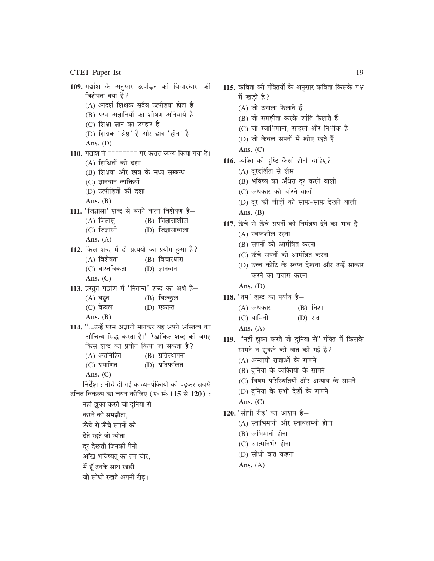```
109. गद्यांश के अनुसार उत्पीड़न की विचारधारा की
     विशेषता क्या है?
     (A) आदर्श शिक्षक सदैव उत्पीड़क होता है
     (B) परम अज्ञानियों का शोषण अनिवार्य है
      (C) शिक्षा ज्ञान का उपहार है
     (D) शिक्षक 'श्रेष्ठ' है और छात्र 'हीन' है
     Ans. (D)110. गद्यांश में <sup>-------</sup> पर करारा व्यंग्य किया गया है।
     (A) शिक्षितों की दशा
     (B) शिक्षक और छात्र के मध्य सम्बन्ध
     (C) ज्ञानवान व्यक्तियों
     (D) उत्पीड़ितों की दशा
     Ans. (B)111. 'जिज्ञासा' शब्द से बनने वाला विशेषण है-
     (A) जिज्ञास
                           (B) जिज्ञासाशील
     (C) जिज्ञासी
                           (D) जिज्ञासावाला
     Ans. (A)112. किस शब्द में दो प्रत्ययों का प्रयोग हुआ है?
     (A) विशेषता
                           (B) विचारधारा
     (C) वास्तविकता
                           (D) ज्ञानवान
     Ans. (C)113. प्रस्तुत गद्यांश में 'नितान्त' शब्द का अर्थ है-
                           (B) बिल्कुल
     (A) बहुत
     (C) केवल
                           (D) एकान्त
     Ans. (B)114. "...उन्हें परम अज्ञानी मानकर वह अपने अस्तित्व का
     औचित्य सिद्ध करता है।" रेखांकित शब्द की जगह
     किस शब्द का प्रयोग किया जा सकता है?
     (A) अंतर्निहित
                           (B) प्रतिस्थापना
     (C) प्रमाणित
                           (D) प्रतिफलित
     Ans. (C)निर्देश : नीचे दी गई काव्य-पंक्तियों को पढ़कर सबसे
उचित विकल्प का चयन कोजिए (प्र∘ सं∘ 115 से 120) :
    नहीं झुका करते जो दुनिया से
    करने को समझौता.
    ऊँचे से ऊँचे सपनों को
    देते रहते जो न्योता,
    दूर देखती जिनकी पैनी
     आँख भविष्यत का तम चीर,
    मैं हूँ उनके साथ खड़ी
```
जो सीधी रखते अपनी रीढ़।

115. कविता की पंक्तियों के अनुसार कविता किसके पक्ष में खड़ी है? (A) जो उजाला फैलाते हैं (B) जो समझौता करके शांति फैलाते हैं (C) जो स्वाभिमानी, साहसी और निर्भीक हैं (D) जो केवल सपनों में खोए रहते हैं Ans.  $(C)$ 116. व्यक्ति की दृष्टि कैसी होनी चाहिए? (A) दूरदर्शिता से लैस (B) भविष्य का अँधेरा दूर करने वाली (C) अंधकार को चीरने वाली (D) दूर की चीज़ों को साफ़-साफ़ देखने वाली Ans.  $(B)$ 117. ऊँचे से ऊँचे सपनों को निमंत्रण देने का भाव है-(A) स्वप्नशील रहना (B) सपनों को आमंत्रित करना (C) ऊँचे सपनों को आमंत्रित करना (D) उच्च कोटि के स्वप्न देखना और उन्हें साकार करने का प्रयास करना Ans.  $(D)$ 118. 'तम' शब्द का पर्याय है- $(A)$  अंधकार  $(B)$  निशा (C) यामिनी  $(D)$  रात Ans.  $(A)$ 119. "नहीं झुका करते जो दुनिया से" पंक्ति में किसके सामने न झकने की बात की गई है? (A) अन्यायी राजाओं के सामने (B) दुनिया के व्यक्तियों के सामने (C) विषम परिस्थितियों और अन्याय के सामने (D) दुनिया के सभी देशों के सामने Ans.  $(C)$ 120. 'सीधी रीढ़' का आशय है-(A) स्वाभिमानी और स्वावलम्बी होना (B) अभिमानी होना (C) आत्मनिर्भर होना (D) सीधी बात कहना Ans.  $(A)$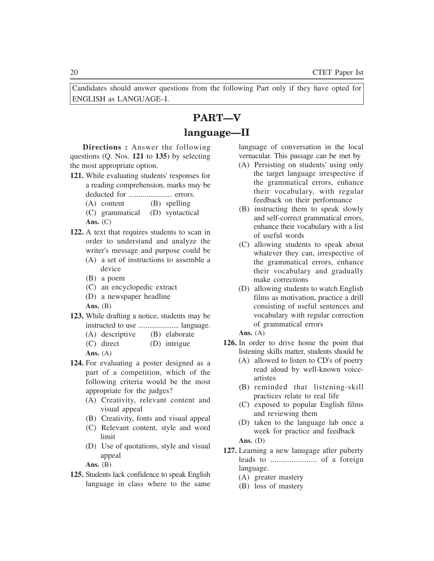Candidates should answer questions from the following Part only if they have opted for ENGLISH as LANGUAGE–I.

# **PART—V language—II**

**Directions :** Answer the following questions (Q. Nos. **121** to **135**) by selecting the most appropriate option.

- **121.** While evaluating students' responses for a reading comprehension, marks may be deducted for ...................... errors.
	- (A) content (B) spelling
	- (C) grammatical (D) syntactical **Ans.** (C)
- **122.** A text that requires students to scan in order to understand and analyze the writer's message and purpose could be
	- (A) a set of instructions to assemble a device
	- (B) a poem
	- (C) an encyclopedic extract
	- (D) a newspaper headline

Ans. **(B)** 

- **123.** While drafting a notice, students may be instructed to use ...................... language.
	- (A) descriptive (B) elaborate
	- (C) direct (D) intrigue
	- **Ans.** (A)
- **124.** For evaluating a poster designed as a part of a competition, which of the following criteria would be the most appropriate for the judges?
	- (A) Creativity, relevant content and visual appeal
	- (B) Creativity, fonts and visual appeal
	- (C) Relevant content, style and word limit
	- (D) Use of quotations, style and visual appeal

Ans. **(B)** 

**125.** Students lack confidence to speak English language in class where to the same language of conversation in the local vernacular. This passage can be met by

- (A) Persisting on students' using only the target language irrespective if the grammatical errors, enhance their vocabulary, with regular feedback on their performance
- (B) instructing them to speak slowly and self-correct grammatical errors, enhance their vocabulary with a list of useful words
- (C) allowing students to speak about whatever they can, irrespective of the grammatical errors, enhance their vocabulary and gradually make corrections
- (D) allowing students to watch English films as motivation, practice a drill consisting of useful sentences and vocabulary with regular correction of grammatical errors

**Ans.** (A)

- **126.** In order to drive home the point that listening skills matter, students should be
	- (A) allowed to listen to CD's of poetry read aloud by well-known voiceartistes
	- (B) reminded that listening-skill practices relate to real life
	- (C) exposed to popular English films and reviewing them
	- (D) taken to the language lab once a week for practice and feedback

- **127.** Learning a new lanugage after puberty leads to ...................... of a foreign language.
	- (A) greater mastery
	- (B) loss of mastery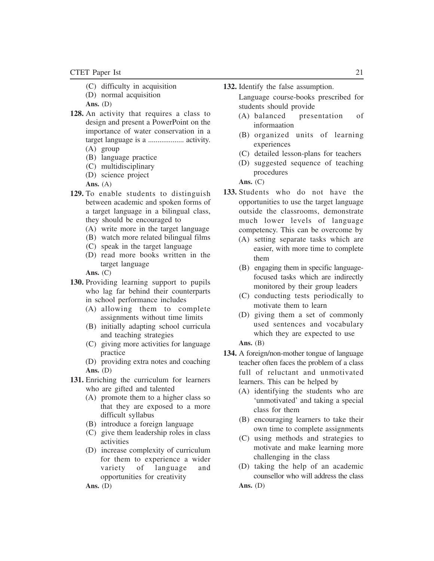- (C) difficulty in acquisition
- (D) normal acquisition
- **Ans.** (D)
- **128.** An activity that requires a class to design and present a PowerPoint on the importance of water conservation in a target language is a ................... activity. (A) group
	-
	- (B) language practice
	- (C) multidisciplinary
	- (D) science project
	- **Ans.** (A)
- **129.** To enable students to distinguish between academic and spoken forms of a target language in a bilingual class, they should be encouraged to
	- (A) write more in the target language
	- (B) watch more related bilingual films
	- (C) speak in the target language
	- (D) read more books written in the target language

**Ans.** (C)

- **130.** Providing learning support to pupils who lag far behind their counterparts in school performance includes
	- (A) allowing them to complete assignments without time limits
	- (B) initially adapting school curricula and teaching strategies
	- (C) giving more activities for language practice
	- (D) providing extra notes and coaching **Ans.** (D)
- **131.** Enriching the curriculum for learners who are gifted and talented
	- (A) promote them to a higher class so that they are exposed to a more difficult syllabus
	- (B) introduce a foreign language
	- (C) give them leadership roles in class activities
	- (D) increase complexity of curriculum for them to experience a wider variety of language and opportunities for creativity

**132.** Identify the false assumption.

Language course-books prescribed for students should provide

- (A) balanced presentation of informaation
- (B) organized units of learning experiences
- (C) detailed lesson-plans for teachers
- (D) suggested sequence of teaching procedures

**Ans.** (C)

- **133.** Students who do not have the opportunities to use the target language outside the classrooms, demonstrate much lower levels of language competency. This can be overcome by
	- (A) setting separate tasks which are easier, with more time to complete them
	- (B) engaging them in specific languagefocused tasks which are indirectly monitored by their group leaders
	- (C) conducting tests periodically to motivate them to learn
	- (D) giving them a set of commonly used sentences and vocabulary which they are expected to use

Ans. **(B)** 

- **134.** A foreign/non-mother tongue of language teacher often faces the problem of a class full of reluctant and unmotivated learners. This can be helped by
	- (A) identifying the students who are 'unmotivated' and taking a special class for them
	- (B) encouraging learners to take their own time to complete assignments
	- (C) using methods and strategies to motivate and make learning more challenging in the class
	- (D) taking the help of an academic counsellor who will address the class **Ans.** (D)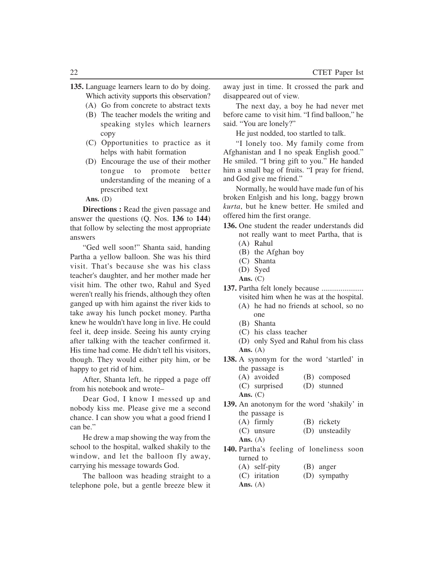- **135.** Language learners learn to do by doing. Which activity supports this observation?
	- (A) Go from concrete to abstract texts
	- (B) The teacher models the writing and speaking styles which learners copy
	- (C) Opportunities to practice as it helps with habit formation
	- (D) Encourage the use of their mother tongue to promote better understanding of the meaning of a prescribed text

**Directions :** Read the given passage and answer the questions (Q. Nos. **136** to **144**) that follow by selecting the most appropriate answers

"Ged well soon!" Shanta said, handing Partha a yellow balloon. She was his third visit. That's because she was his class teacher's daughter, and her mother made her visit him. The other two, Rahul and Syed weren't really his friends, although they often ganged up with him against the river kids to take away his lunch pocket money. Partha knew he wouldn't have long in live. He could feel it, deep inside. Seeing his aunty crying after talking with the teacher confirmed it. His time had come. He didn't tell his visitors, though. They would either pity him, or be happy to get rid of him.

After, Shanta left, he ripped a page off from his notebook and wrote–

Dear God, I know I messed up and nobody kiss me. Please give me a second chance. I can show you what a good friend I can be."

He drew a map showing the way from the school to the hospital, walked shakily to the window, and let the balloon fly away, carrying his message towards God.

The balloon was heading straight to a telephone pole, but a gentle breeze blew it away just in time. It crossed the park and disappeared out of view.

The next day, a boy he had never met before came to visit him. "I find balloon," he said. "You are lonely?"

He just nodded, too startled to talk.

"I lonely too. My family come from Afghanistan and I no speak English good." He smiled. "I bring gift to you." He handed him a small bag of fruits. "I pray for friend, and God give me friend."

Normally, he would have made fun of his broken Enlgish and his long, baggy brown *kurta*, but he knew better. He smiled and offered him the first orange.

- **136.** One student the reader understands did not really want to meet Partha, that is (A) Rahul
	- (B) the Afghan boy
	- (C) Shanta
	- (D) Syed
	- **Ans.** (C)
- **137.** Partha felt lonely because ...................... visited him when he was at the hospital.
	- (A) he had no friends at school, so no one
	- (B) Shanta
	- (C) his class teacher
	- (D) only Syed and Rahul from his class **Ans.** (A)
- **138.** A synonym for the word 'startled' in the passage is
	- (A) avoided (B) composed
	- (C) surprised (D) stunned
	- **Ans.** (C)
- **139.** An anotonym for the word 'shakily' in the passage is
	- (A) firmly (B) rickety
	- (C) unsure (D) unsteadily
	- **Ans.** (A)
- **140.** Partha's feeling of loneliness soon turned to
	- (A) self-pity (B) anger
	- (C) iritation (D) sympathy
	- **Ans.** (A)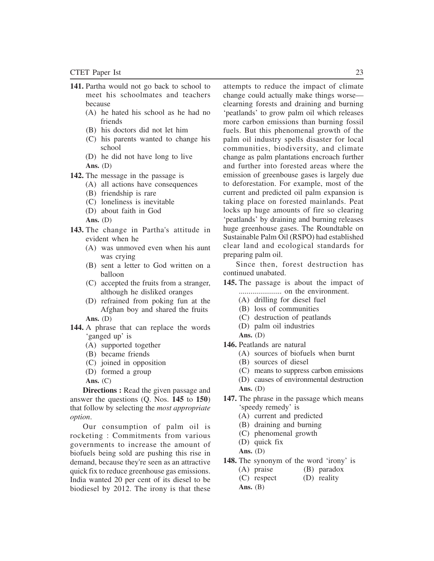- **141.** Partha would not go back to school to meet his schoolmates and teachers because
	- (A) he hated his school as he had no friends
	- (B) his doctors did not let him
	- (C) his parents wanted to change his school
	- (D) he did not have long to live **Ans.** (D)
- **142.** The message in the passage is
	- (A) all actions have consequences
	- (B) friendship is rare
	- (C) loneliness is inevitable
	- (D) about faith in God
	- **Ans.** (D)
- **143.** The change in Partha's attitude in evident when he
	- (A) was unmoved even when his aunt was crying
	- (B) sent a letter to God written on a balloon
	- (C) accepted the fruits from a stranger, although he disliked oranges
	- (D) refrained from poking fun at the Afghan boy and shared the fruits **Ans.** (D)
- **144.** A phrase that can replace the words 'ganged up' is
	- (A) supported together
	- (B) became friends
	- (C) joined in opposition
	- (D) formed a group

**Ans.** (C)

**Directions :** Read the given passage and answer the questions (Q. Nos. **145** to **150**) that follow by selecting the *most appropriate option*.

Our consumption of palm oil is rocketing : Commitments from various governments to increase the amount of biofuels being sold are pushing this rise in demand, because they're seen as an attractive quick fix to reduce greenhouse gas emissions. India wanted 20 per cent of its diesel to be biodiesel by 2012. The irony is that these

attempts to reduce the impact of climate change could actually make things worse clearning forests and draining and burning 'peatlands' to grow palm oil which releases more carbon emissions than burning fossil fuels. But this phenomenal growth of the palm oil industry spells disaster for local communities, biodiversity, and climate change as palm plantations encroach further and further into forested areas where the emission of greenbouse gases is largely due to deforestation. For example, most of the current and predicted oil palm expansion is taking place on forested mainlands. Peat locks up huge amounts of fire so clearing 'peatlands' by draining and burning releases huge greenhouse gases. The Roundtable on Sustainable Palm Oil (RSPO) had established clear land and ecological standards for preparing palm oil.

Since then, forest destruction has continued unabated.

- **145.** The passage is about the impact of ...................... on the environment.
	- (A) drilling for diesel fuel
	- (B) loss of communities
	- (C) destruction of peatlands
	- (D) palm oil industries
	- **Ans.** (D)
- **146.** Peatlands are natural
	- (A) sources of biofuels when burnt
	- (B) sources of diesel
	- (C) means to suppress carbon emissions
	- (D) causes of environmental destruction **Ans.** (D)
- **147.** The phrase in the passage which means 'speedy remedy' is
	- (A) current and predicted
	- (B) draining and burning
	- (C) phenomenal growth
	- (D) quick fix
	- **Ans.** (D)
- **148.** The synonym of the word 'irony' is
	- (A) praise (B) paradox
	- (C) respect (D) reality
	- Ans. **(B)**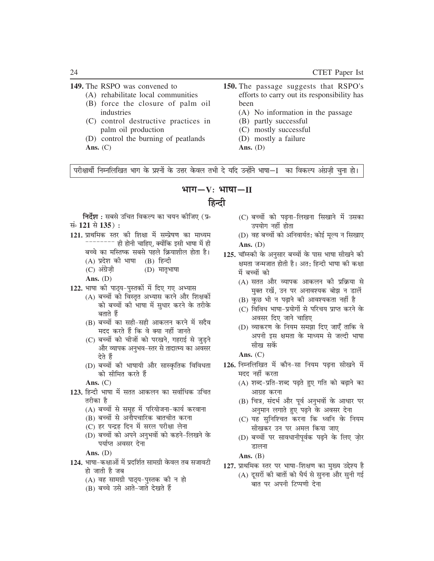#### 149. The RSPO was convened to

- (A) rehabilitate local communities
- (B) force the closure of palm oil industries
- (C) control destructive practices in palm oil production
- (D) control the burning of peatlands Ans.  $(C)$
- 150. The passage suggests that RSPO's efforts to carry out its responsibility has been
	- (A) No information in the passage
	- (B) partly successful
	- (C) mostly successful
	- (D) mostly a failure
	- Ans.  $(D)$

परीक्षार्थी निम्नलिखित भाग के प्रश्नों के उत्तर केवल तभी दे यदि उन्होंने भाषा—I का विकल्प अंग्रज़ी चुना हो।

### भाग—V: भाषा—II

### हिन्दी

**निर्देश :** सबसे उचित विकल्प का चयन कोजिए (प्र∘ संबंध 121 से 135):

- 121. प्राथमिक स्तर की शिक्षा में सम्प्रेषण का माध्यम -------- ही होनी चाहिए, क्योंकि इसी भाषा में ही
	- बच्चे का मस्तिष्क सबसे पहले क्रियाशील होता है।
	- (A) प्रदेश की भाषा (B) हिन्दी
	- $(C)$  अंग्रेज़ी  $(D)$  मातृभाषा
	- Ans.  $(D)$
- 122. भाषा की पाठ्य-पुस्तकों में दिए गए अभ्यास
	- (A) बच्चों को विस्तत अभ्यास करने और शिक्षकों को बच्चों की भाषा में सुधार करने के तरीके बताते हैं
	- (B) बच्चों का सही-सही आकलन करने में सदैव मदद करते हैं कि वे क्या नहीं जानते
	- (C) बच्चों को चीजों को परखने, गहराई से जुड़ने और व्यापक अनुभव–स्तर से तादात्म्य का अवसर देते हैं
	- (D) बच्चों की भाषायी और सास्कृतिक विविधता को सीमित करते हैं
	- Ans.  $(C)$
- 123. हिन्दी भाषा में सतत आकलन का सर्वाधिक उचित तरीका है
	- (A) बच्चों से समृह में परियोजना-कार्य करवाना
	- (B) बच्चों से अनौपचारिक बातचीत करना
	- (C) हर पन्द्रह दिन में सरल परीक्षा लेना
	- (D) बच्चों को अपने अनुभवों को कहने–लिखने के पर्याप्त अवसर देना

Ans.  $(D)$ 

- 124. भाषा-कक्षाओं में प्रदर्शित सामग्री केवल तब सजावटी हो जाती है जब
	- (A) वह सामग्री पाठ्य-पुस्तक की न हो
	- (B) बच्चे उसे आते-जाते देखते हैं
- (C) बच्चों को पढ़ना-लिखना सिखाने में उसका उपयोग नहीं होता
- (D) वह बच्चों को अनिवार्यत: कोई मुल्य न सिखाए Ans.  $(D)$
- 125. चॉम्स्की के अनुसार बच्चों के पास भाषा सीखने की क्षमता जन्मजात होती है। अत: हिन्दी भाषा की कक्षा में बच्चों को
	- (A) सतत और व्यापक आकलन की प्रक्रिया से मक्त रखें, उन पर अनावश्यक बोझ न डालें
	- (B) कुछ भी न पढ़ाने की आवश्यकता नहीं है
	- (C) विविध भाषा-प्रयोगों से परिचय प्राप्त करने के अवसर दिए जाने चाहिए
	- (D) व्याकरण के नियम समझा दिए जाएँ ताकि वे अपनी इस क्षमता के माध्यम से जल्दी भाषा सीख सकें

Ans.  $(C)$ 

- 126. निम्नलिखित में कौन-सा नियम पढ़ना सीखने में मदद नहीं करता
	- (A) शब्द-प्रति-शब्द पढ़ते हुए गति को बढ़ाने का आग्रह करना
	- (B) चित्र, संदर्भ और पूर्व अनुभवों के आधार पर अनुमान लगाते हुए पढ़ने के अवसर देना
	- (C) यह सुनिश्चित करना कि ध्वनि के नियम सीखकर उन पर अमल किया जाए
	- (D) बच्चों पर सावधानीपर्वक पढने के लिए जोर डालना

Ans.  $(B)$ 

127. प्राथमिक स्तर पर भाषा-शिक्षण का मुख्य उद्देश्य है (A) दूसरों की बातों को धैर्य से सुनना और सुनी गई बात पर अपनी टिप्पणी देना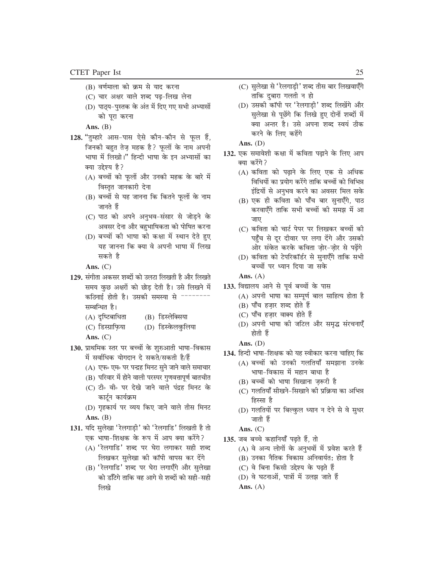- (B) वर्णमाला को क्रम से याद करना
- (C) चार अक्षर वाले शब्द पढ़-लिख लेना
- (D) पाठ्य-पुस्तक के अंत में दिए गए सभी अभ्यासों को पूरा करना

Ans.  $(B)$ 

- 128. "तुम्हारे आस-पास ऐसे कौन-कौन से फूल हैं, जिनकी बहुत तेज़ महक है? फूलों के नाम अपनी भाषा में लिखो।" हिन्दी भाषा के इन अभ्यासों का क्या उद्देश्य है?
	- (A) बच्चों को फुलों और उनकी महक के बारे में विस्तृत जानकारी देना
	- (B) बच्चों से यह जानना कि कितने फूलों के नाम जानते हैं
	- (C) पाठ को अपने अनुभव-संसार से जोड़ने के अवसर देना और बहुभाषिकता को पोषित करना
	- (D) बच्चों की भाषा को कक्षा में स्थान देते हुए यह जानना कि क्या वे अपनी भाषा में लिख सकते है
	- Ans.  $(C)$
- 129. संगीता अकसर शब्दों को उलटा लिखती है और लिखते समय कुछ अक्षरों को छोड़ देती है। उसे लिखने में कठिनाई होती है। उसकी समस्या से --------सम्बन्धित है।
	- (A) दृष्टिबाधिता (B) डिस्लेक्सिया
	- (C) डिस्ग्राफिया (D) डिस्केलकुलिया
	- Ans.  $(C)$
- 130. प्राथमिक स्तर पर बच्चों के शुरुआती भाषा-विकास में सर्वाधिक योगदान दे सकते/सकती है/हैं
	- (A) एफ॰ एम॰ पर पन्द्रह मिनट सुने जाने वाले समाचार
	- (B) परिवार में होने वाली परस्पर गुणवत्तापूर्ण बातचीत
	- (C) टी॰ वी॰ पर देखे जाने वाले पंद्रह मिनट के कार्टून कार्यक्रम
	- (D) गृहकार्य पर व्यय किए जाने वाले तीस मिनट Ans.  $(B)$
- 131. यदि सुलेखा 'रेलगाड़ी' को 'रेलगाडि' लिखती है तो एक भाषा-शिक्षक के रूप में आप क्या करेंगे?
	- (A) 'रेलगाडि' शब्द पर घेरा लगाकर सही शब्द लिखकर सुलेखा की कॉपी वापस कर देंगे
	- (B) 'रेलगाडि' शब्द पर घेरा लगाएँगे और सुलेखा को डाँटेगे ताकि वह आगे से शब्दों को सही-सही लिखे
- (C) सुलेखा से 'रेलगाड़ी' शब्द तीस बार लिखवाएँगे ताकि दुबारा गलती न हो
- (D) उसकी कॉपी पर 'रेलगाड़ी' शब्द लिखेंगे और सुलेखा से पूछेंगे कि लिखे हुए दोनों शब्दों में क्या अन्तर है। उसे अपना शब्द स्वयं ठीक करने के लिए कहेंगे
- Ans.  $(D)$
- 132. एक समावेशी कक्षा में कविता पढ़ाने के लिए आप क्या करेंगे?
	- (A) कविता को पढाने के लिए एक से अधिक विधियों का प्रयोग करेंगे ताकि बच्चों को विभिन्न इंद्रियों से अनुभव करने का अवसर मिल सके
	- (B) एक ही कविता को पाँच बार सुनाएँगे, पाठ करवाएँगे ताकि सभी बच्चों की समझ में आ जाए
	- (C) कविता को चार्ट पेपर पर लिखकर बच्चों की पहुँच से दूर दीवार पर लगा देंगे और उसकी ओर संकेत करके कविता ज़ोर-ज़ोर से पढ़ेंगे
	- (D) कविता को टेपरिकॉर्डर से सुनाएँगे ताकि सभी बच्चों पर ध्यान दिया जा सके
	- Ans.  $(A)$
- 133. विद्यालय आने से पूर्व बच्चों के पास
	- (A) अपनी भाषा का सम्पूर्ण बाल साहित्य होता है
	- (B) पाँच हज़ार शब्द होते हैं
	- (C) पाँच हज़ार वाक्य होते हैं
	- (D) अपनी भाषा की जटिल और समृद्ध संरचनाएँ होती हैं
	- Ans.  $(D)$
- 134. हिन्दी भाषा-शिक्षक को यह स्वीकार करना चाहिए कि
	- (A) बच्चों को उनकी गलतियाँ समझाना उनके भाषा-विकास में महान बाधा है
	- (B) बच्चों को भाषा सिखाना ज़रूरी है
	- (C) गलतियाँ सीखने-सिखाने की प्रक्रिया का अभिन्न हिस्सा है
	- (D) गलतियों पर बिल्कुल ध्यान न देने से वे सुधर जाती हैं
	- Ans.  $(C)$
- 135. जब बच्चे कहानियाँ पढ़ते हैं, तो
	- (A) वे अन्य लोगों के अनुभवों में प्रवेश करते हैं
	- (B) उनका नैतिक विकास अनिवार्यत: होता है
	- (C) वे बिना किसी उद्देश्य के पढ़ते हैं
	- (D) वे घटनाओं, पात्रों में उलझ जाते हैं
	- Ans.  $(A)$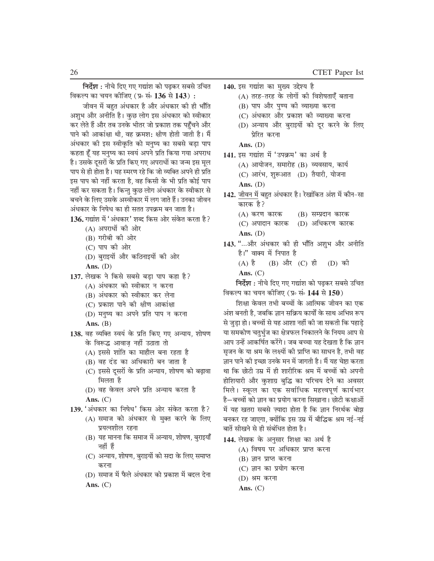निर्देश : नीचे दिए गए गद्यांश को पढकर सबसे उचित विकल्प का चयन कोजिए (प्र∘ सं∘ 136 से 143) :

जीवन में बहुत अंधकार है और अंधकार की ही भाँति अशुभ और अनीति है। कुछ लोग इस अंधकार को स्वीकार कर लेते हैं और तब उनके भीतर जो प्रकाश तक पहुँचने और पाने की आकांक्षा थी, वह क्रमश: क्षीण होती जाती है। मैं अंधकार की इस स्वीकृति को मनुष्य का सबसे बड़ा पाप कहता हूँ यह मनुष्य का स्वयं अपने प्रति किया गया अपराध है। उसके दूसरों के प्रति किए गए अपराधों का जन्म इस मूल पाप से ही होता है। यह स्मरण रहे कि जो व्यक्ति अपने ही प्रति इस पाप को नहीं करता है, वह किसी के भी प्रति कोई पाप नहीं कर सकता है। किन्तु कुछ लोग अंधकार के स्वीकार से बचने के लिए उसके अस्वीकार में लग जाते हैं। उनका जीवन अंधकार के निषेध का ही सतत उपक्रम बन जाता है।

- 136. गद्यांश में 'अंधकार' शब्द किस ओर संकेत करता है?
	- (A) अपराधों की ओर
	- (B) गरीबी की ओर
	- $(C)$  पाप की ओर
	- (D) बुराइयों और कठिनाइयों की ओर
	- Ans.  $(D)$
- 137. लेखक ने किसे सबसे बड़ा पाप कहा है?
	- (A) अंधकार को स्वीकार न करना
	- (B) अंधकार को स्वीकार कर लेना
	- (C) प्रकाश पाने की क्षीण आकांक्षा
	- (D) मनुष्य का अपने प्रति पाप न करना
	- Ans.  $(B)$
- 138. वह व्यक्ति स्वयं के प्रति किए गए अन्याय, शोषण के विरूद्ध आवाज़ नहीं उठाता तो
	- (A) इससे शांति का माहौल बना रहता है
	- (B) वह दंड का अधिकारी बन जाता है
	- (C) इससे दूसरों के प्रति अन्याय, शोषण को बढ़ावा मिलता है
	- (D) वह केवल अपने प्रति अन्याय करता है Ans.  $(C)$
- 139. 'अंधकार का निषेध' किस ओर संकेत करता है? (A) समाज को अंधकार से मुक्त करने के लिए प्रयत्नशील रहना
	- (B) यह मानना कि समाज में अन्याय, शोषण, बुराइयाँ नहीं हैं
	- (C) अन्याय, शोषण, बुराइयों को सदा के लिए समाप्त करना
	- (D) समाज में फैले अंधकार को प्रकाश में बदल देना Ans.  $(C)$
- 140. इस गद्यांश का मुख्य उद्देश्य है
	- (A) तरह-तरह के लोगों की विशेषताएँ बताना
	- (B) पाप और पुण्य की व्याख्या करना
	- (C) अंधकार और प्रकाश को व्याख्या करना
	- (D) अन्याय और बुराइयों को दूर करने के लिए प्रेरित करना
	- Ans.  $(D)$
- 141. इस गद्यांश में 'उपक्रम' का अर्थ है
	- (A) आयोजन, समारोह (B) व्यवसाय, कार्य
	- (C) आरंभ, शुरूआत (D) तैयारी, योजना
	- Ans.  $(D)$
- 142. जीवन में बहुत अंधकार है। रेखांकित अंश में कौन-सा कारक है?
	- (A) करण कारक (B) सम्प्रदान कारक
	- (D) अधिकरण कारक (C) अपादान कारक Ans.  $(D)$
- 143. "...और अंधकार की ही भाँति अशुभ और अनीति है।" वाक्य में निपात है
	- $(A)$  है (B) और (C) ही (D) की
	- Ans.  $(C)$

निर्देश : नीचे दिए गए गद्यांश को पढ़कर सबसे उचित विकल्प का चयन कोजिए (प्र॰ सं॰ 144 से 150)

शिक्षा केवल तभी बच्चों के आत्मिक जीवन का एक अंश बनती है, जबकि ज्ञान सक्रिय कार्यों के साथ अभिन्न रूप से जुड़ा हो। बच्चों से यह आशा नहीं की जा सकती कि पहाड़े या समकोण चतुर्भुज का क्षेत्रफल निकालने के नियम आप से आप उन्हें आकर्षित करेंगे। जब बच्चा यह देखता है कि ज्ञान सजन के या श्रम के लक्ष्यों की प्राप्ति का साधन है. तभी वह ज्ञान पाने की इच्छा उनके मन में जागती है। मैं यह चेष्टा करता था कि छोटी उम्र में ही शारीरिक श्रम में बच्चों को अपनी होशियारी और कुशाग्र बुद्धि का परिचय देने का अवसर मिले। स्कृल का एक सर्वाधिक महत्त्वपूर्ण कार्यभार है–बच्चों को ज्ञान का प्रयोग करना सिखाना। छोटी कक्षाओं में यह खतरा सबसे ज़्यादा होता है कि ज्ञान निरर्थक बोझ बनकर रह जाएगा, क्योंकि इस उम्र में बौद्धिक श्रम नई-नई बातें सीखने से ही संबंधित होता है।

- 144. लेखक के अनुसार शिक्षा का अर्थ है
	- (A) विषय पर अधिकार प्राप्त करना
	- (B) ज्ञान प्राप्त करना
	- (C) ज्ञान का प्रयोग करना
	- (D) श्रम करना
	- Ans.  $(C)$